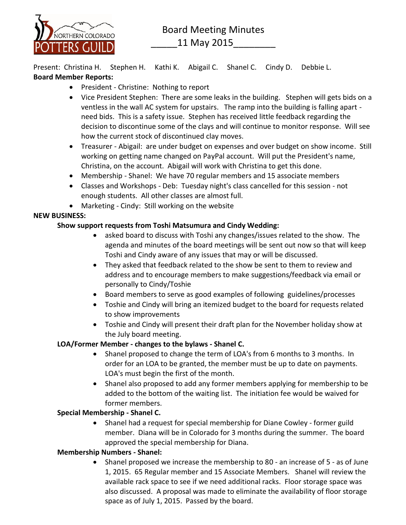

Present: Christina H. Stephen H. Kathi K. Abigail C. Shanel C. Cindy D. Debbie L. **Board Member Reports:**

- President Christine: Nothing to report
- Vice President Stephen: There are some leaks in the building. Stephen will gets bids on a ventless in the wall AC system for upstairs. The ramp into the building is falling apart need bids. This is a safety issue. Stephen has received little feedback regarding the decision to discontinue some of the clays and will continue to monitor response. Will see how the current stock of discontinued clay moves.
- Treasurer Abigail: are under budget on expenses and over budget on show income. Still working on getting name changed on PayPal account. Will put the President's name, Christina, on the account. Abigail will work with Christina to get this done.
- Membership Shanel: We have 70 regular members and 15 associate members
- Classes and Workshops Deb: Tuesday night's class cancelled for this session not enough students. All other classes are almost full.
- Marketing Cindy: Still working on the website

## **NEW BUSINESS:**

## **Show support requests from Toshi Matsumura and Cindy Wedding:**

- asked board to discuss with Toshi any changes/issues related to the show. The agenda and minutes of the board meetings will be sent out now so that will keep Toshi and Cindy aware of any issues that may or will be discussed.
- They asked that feedback related to the show be sent to them to review and address and to encourage members to make suggestions/feedback via email or personally to Cindy/Toshie
- Board members to serve as good examples of following guidelines/processes
- Toshie and Cindy will bring an itemized budget to the board for requests related to show improvements
- Toshie and Cindy will present their draft plan for the November holiday show at the July board meeting.

## **LOA/Former Member - changes to the bylaws - Shanel C.**

- Shanel proposed to change the term of LOA's from 6 months to 3 months. In order for an LOA to be granted, the member must be up to date on payments. LOA's must begin the first of the month.
- Shanel also proposed to add any former members applying for membership to be added to the bottom of the waiting list. The initiation fee would be waived for former members.

## **Special Membership - Shanel C.**

• Shanel had a request for special membership for Diane Cowley - former guild member. Diana will be in Colorado for 3 months during the summer. The board approved the special membership for Diana.

## **Membership Numbers - Shanel:**

 Shanel proposed we increase the membership to 80 - an increase of 5 - as of June 1, 2015. 65 Regular member and 15 Associate Members. Shanel will review the available rack space to see if we need additional racks. Floor storage space was also discussed. A proposal was made to eliminate the availability of floor storage space as of July 1, 2015. Passed by the board.